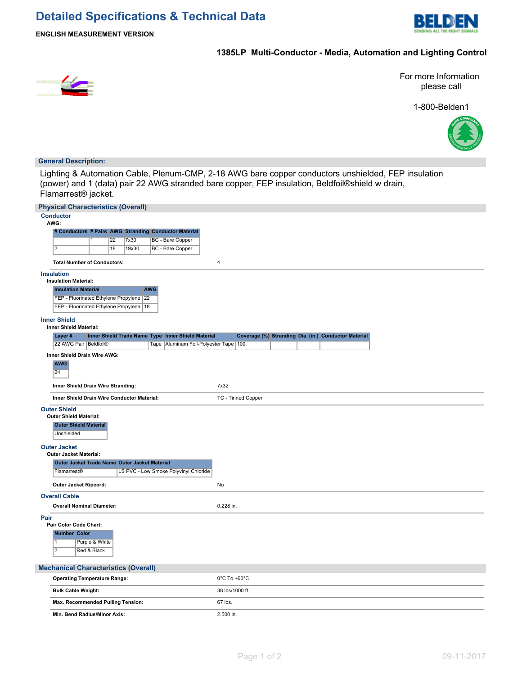

## **1385LP Multi-Conductor - Media, Automation and Lighting Control**



For more Information please call

1-800-Belden1



#### **General Description:**

Lighting & Automation Cable, Plenum-CMP, 2-18 AWG bare copper conductors unshielded, FEP insulation (power) and 1 (data) pair 22 AWG stranded bare copper, FEP insulation, Beldfoil®shield w drain, Flamarrest® jacket.

|                                                                  | <b>Physical Characteristics (Overall)</b>                                         |                               |    |       |            |                                                       |                                   |                           |  |                                                      |  |  |
|------------------------------------------------------------------|-----------------------------------------------------------------------------------|-------------------------------|----|-------|------------|-------------------------------------------------------|-----------------------------------|---------------------------|--|------------------------------------------------------|--|--|
|                                                                  | <b>Conductor</b><br>AWG:                                                          |                               |    |       |            |                                                       |                                   |                           |  |                                                      |  |  |
|                                                                  |                                                                                   |                               |    |       |            | # Conductors # Pairs AWG Stranding Conductor Material |                                   |                           |  |                                                      |  |  |
|                                                                  |                                                                                   | 1                             | 22 | 7x30  |            | <b>BC</b> - Bare Copper                               |                                   |                           |  |                                                      |  |  |
|                                                                  | $\overline{2}$                                                                    |                               | 18 | 19x30 |            | BC - Bare Copper                                      |                                   |                           |  |                                                      |  |  |
|                                                                  | <b>Total Number of Conductors:</b>                                                |                               |    |       |            |                                                       | $\overline{\mathbf{4}}$           |                           |  |                                                      |  |  |
|                                                                  | <b>Insulation</b><br><b>Insulation Material:</b>                                  |                               |    |       |            |                                                       |                                   |                           |  |                                                      |  |  |
|                                                                  | <b>Insulation Material</b>                                                        |                               |    |       | <b>AWG</b> |                                                       |                                   |                           |  |                                                      |  |  |
|                                                                  | FEP - Fluorinated Ethylene Propylene<br>FEP - Fluorinated Ethylene Propylene   18 |                               |    | 22    |            |                                                       |                                   |                           |  |                                                      |  |  |
|                                                                  | <b>Inner Shield</b>                                                               |                               |    |       |            |                                                       |                                   |                           |  |                                                      |  |  |
|                                                                  | <b>Inner Shield Material:</b>                                                     |                               |    |       |            |                                                       |                                   |                           |  |                                                      |  |  |
|                                                                  | Layer#                                                                            |                               |    |       |            | Inner Shield Trade Name Type Inner Shield Material    |                                   |                           |  | Coverage (%) Stranding Dia. (in.) Conductor Material |  |  |
|                                                                  | 22 AWG Pair   Beldfoil®                                                           |                               |    |       |            | Tape   Aluminum Foil-Polyester Tape   100             |                                   |                           |  |                                                      |  |  |
|                                                                  | Inner Shield Drain Wire AWG:<br><b>AWG</b><br>24                                  |                               |    |       |            |                                                       |                                   |                           |  |                                                      |  |  |
|                                                                  | Inner Shield Drain Wire Stranding:                                                |                               |    |       |            |                                                       | 7x32                              |                           |  |                                                      |  |  |
|                                                                  | Inner Shield Drain Wire Conductor Material:                                       |                               |    |       |            |                                                       |                                   | <b>TC - Tinned Copper</b> |  |                                                      |  |  |
|                                                                  | <b>Outer Shield</b><br><b>Outer Shield Material:</b>                              |                               |    |       |            |                                                       |                                   |                           |  |                                                      |  |  |
|                                                                  | <b>Outer Shield Material</b><br>Unshielded                                        |                               |    |       |            |                                                       |                                   |                           |  |                                                      |  |  |
|                                                                  | <b>Outer Jacket</b><br><b>Outer Jacket Material:</b>                              |                               |    |       |            |                                                       |                                   |                           |  |                                                      |  |  |
|                                                                  | Outer Jacket Trade Name Outer Jacket Material                                     |                               |    |       |            |                                                       |                                   |                           |  |                                                      |  |  |
| Flamarrest <sup>®</sup><br>LS PVC - Low Smoke Polyvinyl Chloride |                                                                                   |                               |    |       |            |                                                       |                                   |                           |  |                                                      |  |  |
|                                                                  | Outer Jacket Ripcord:                                                             |                               |    |       |            |                                                       | No                                |                           |  |                                                      |  |  |
|                                                                  | <b>Overall Cable</b>                                                              |                               |    |       |            |                                                       |                                   |                           |  |                                                      |  |  |
|                                                                  | <b>Overall Nominal Diameter:</b>                                                  |                               |    |       |            |                                                       | 0.228 in.                         |                           |  |                                                      |  |  |
| Pair                                                             | Pair Color Code Chart:                                                            |                               |    |       |            |                                                       |                                   |                           |  |                                                      |  |  |
|                                                                  | Number Color                                                                      |                               |    |       |            |                                                       |                                   |                           |  |                                                      |  |  |
|                                                                  | $\overline{1}$<br>$\overline{2}$                                                  | Purple & White<br>Red & Black |    |       |            |                                                       |                                   |                           |  |                                                      |  |  |
|                                                                  | <b>Mechanical Characteristics (Overall)</b>                                       |                               |    |       |            |                                                       |                                   |                           |  |                                                      |  |  |
|                                                                  | <b>Operating Temperature Range:</b>                                               |                               |    |       |            |                                                       | $0^{\circ}$ C To +60 $^{\circ}$ C |                           |  |                                                      |  |  |
|                                                                  | <b>Bulk Cable Weight:</b>                                                         |                               |    |       |            |                                                       | 38 lbs/1000 ft.                   |                           |  |                                                      |  |  |
|                                                                  | Max. Recommended Pulling Tension:                                                 |                               |    |       |            |                                                       | 67 lbs.                           |                           |  |                                                      |  |  |
|                                                                  | Min. Bend Radius/Minor Axis:                                                      |                               |    |       |            |                                                       | 2.500 in.                         |                           |  |                                                      |  |  |